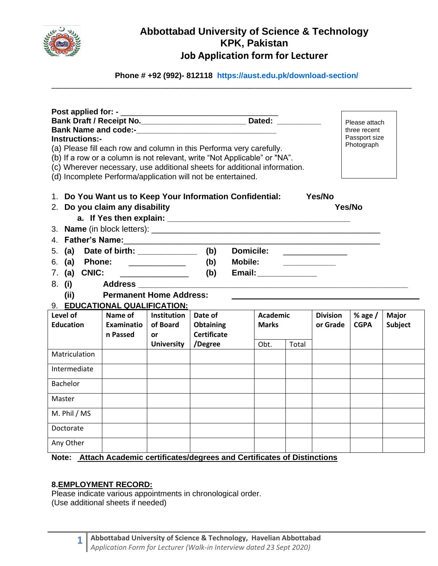

# **Abbottabad University of Science & Technology KPK, Pakistan Job Application form for Lecturer**

**Phone # +92 (992)- 812118 <https://aust.edu.pk/download-section/>**

\_\_\_\_\_\_\_\_\_\_\_\_\_\_\_\_\_\_\_\_\_\_\_\_\_\_\_\_\_\_\_\_\_\_\_\_\_\_\_\_\_\_\_\_\_\_\_\_\_\_\_\_\_\_\_\_\_\_\_\_\_\_\_\_\_\_\_\_\_\_\_\_\_\_\_\_\_\_\_\_\_\_\_\_\_\_\_\_\_\_\_\_

| Bank Draft / Receipt No. _________________________________ Dated: ______________<br>Please attach<br>three recent<br>Passport size<br>Instructions:-<br>Photograph<br>(a) Please fill each row and column in this Performa very carefully.<br>(b) If a row or a column is not relevant, write "Not Applicable" or "NA".<br>(c) Wherever necessary, use additional sheets for additional information.<br>(d) Incomplete Performa/application will not be entertained. |                                |                         |                               |                                                              |       |                 |             |                |
|----------------------------------------------------------------------------------------------------------------------------------------------------------------------------------------------------------------------------------------------------------------------------------------------------------------------------------------------------------------------------------------------------------------------------------------------------------------------|--------------------------------|-------------------------|-------------------------------|--------------------------------------------------------------|-------|-----------------|-------------|----------------|
| 1. Do You Want us to Keep Your Information Confidential:<br>Yes/No<br>2. Do you claim any disability<br>Yes/No                                                                                                                                                                                                                                                                                                                                                       |                                |                         |                               |                                                              |       |                 |             |                |
|                                                                                                                                                                                                                                                                                                                                                                                                                                                                      |                                |                         |                               |                                                              |       |                 |             |                |
| 5. (a) Date of birth: ____________                                                                                                                                                                                                                                                                                                                                                                                                                                   |                                |                         | (b)                           | <b>Domicile:</b>                                             |       |                 |             |                |
|                                                                                                                                                                                                                                                                                                                                                                                                                                                                      | 6. (a) Phone:                  |                         |                               | <b>Mobile:</b><br><u> Communication of the Communication</u> |       |                 |             |                |
| 7. (a) CNIC:                                                                                                                                                                                                                                                                                                                                                                                                                                                         |                                |                         | (b)                           | Email: ______________                                        |       |                 |             |                |
| 8. (i)                                                                                                                                                                                                                                                                                                                                                                                                                                                               | Address ____________           |                         |                               |                                                              |       |                 |             |                |
| (ii)                                                                                                                                                                                                                                                                                                                                                                                                                                                                 | <b>Permanent Home Address:</b> |                         |                               |                                                              |       |                 |             |                |
| 9. EDUCATIONAL QUALIFICATION:                                                                                                                                                                                                                                                                                                                                                                                                                                        |                                |                         |                               |                                                              |       |                 |             |                |
| Level of                                                                                                                                                                                                                                                                                                                                                                                                                                                             | Name of                        | <b>Institution</b>      | Date of                       | <b>Academic</b>                                              |       | <b>Division</b> | % age $/$   | <b>Major</b>   |
| <b>Education</b>                                                                                                                                                                                                                                                                                                                                                                                                                                                     | <b>Examinatio</b>              | of Board                | <b>Obtaining</b>              | <b>Marks</b>                                                 |       | or Grade        | <b>CGPA</b> | <b>Subject</b> |
|                                                                                                                                                                                                                                                                                                                                                                                                                                                                      | n Passed                       | or<br><b>University</b> | <b>Certificate</b><br>/Degree |                                                              |       |                 |             |                |
| Matriculation                                                                                                                                                                                                                                                                                                                                                                                                                                                        |                                |                         |                               | Obt.                                                         | Total |                 |             |                |
|                                                                                                                                                                                                                                                                                                                                                                                                                                                                      |                                |                         |                               |                                                              |       |                 |             |                |
| Intermediate                                                                                                                                                                                                                                                                                                                                                                                                                                                         |                                |                         |                               |                                                              |       |                 |             |                |
| Bachelor                                                                                                                                                                                                                                                                                                                                                                                                                                                             |                                |                         |                               |                                                              |       |                 |             |                |
| Master                                                                                                                                                                                                                                                                                                                                                                                                                                                               |                                |                         |                               |                                                              |       |                 |             |                |
| M. Phil / MS                                                                                                                                                                                                                                                                                                                                                                                                                                                         |                                |                         |                               |                                                              |       |                 |             |                |
| Doctorate                                                                                                                                                                                                                                                                                                                                                                                                                                                            |                                |                         |                               |                                                              |       |                 |             |                |
| Any Other                                                                                                                                                                                                                                                                                                                                                                                                                                                            |                                |                         |                               |                                                              |       |                 |             |                |
| Note: Attach Academic certificates/degrees and Certificates of Distinctions                                                                                                                                                                                                                                                                                                                                                                                          |                                |                         |                               |                                                              |       |                 |             |                |

### **8.EMPLOYMENT RECORD:**

Please indicate various appointments in chronological order. (Use additional sheets if needed)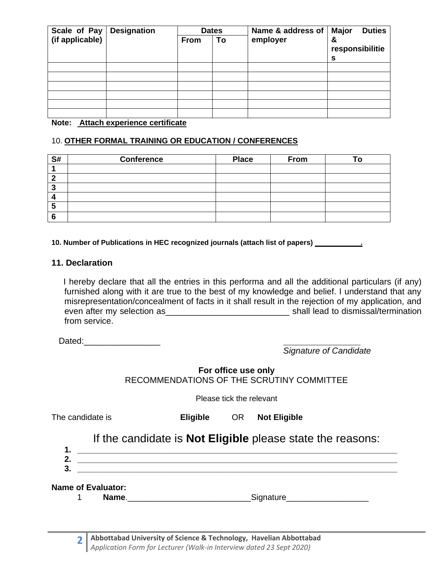| Scale of Pay    | <b>Designation</b> | <b>Dates</b> |    | Name & address of | <b>Major</b><br><b>Duties</b> |
|-----------------|--------------------|--------------|----|-------------------|-------------------------------|
| (if applicable) |                    | <b>From</b>  | To | employer          | &<br>responsibilitie<br>s     |
|                 |                    |              |    |                   |                               |
|                 |                    |              |    |                   |                               |
|                 |                    |              |    |                   |                               |
|                 |                    |              |    |                   |                               |
|                 |                    |              |    |                   |                               |
| .               | $\sim$<br>.        |              |    |                   |                               |

#### **Note: Attach experience certificate**

### 10. **OTHER FORMAL TRAINING OR EDUCATION / CONFERENCES**

| S# | <b>Conference</b> | <b>Place</b> | From |  |
|----|-------------------|--------------|------|--|
|    |                   |              |      |  |
|    |                   |              |      |  |
|    |                   |              |      |  |
|    |                   |              |      |  |
|    |                   |              |      |  |
|    |                   |              |      |  |

**10. Number of Publications in HEC recognized journals (attach list of papers) .** 

#### **11. Declaration**

 I hereby declare that all the entries in this performa and all the additional particulars (if any) furnished along with it are true to the best of my knowledge and belief. I understand that any misrepresentation/concealment of facts in it shall result in the rejection of my application, and even after my selection as **Exercise 20** shall lead to dismissal/termination from service.

Dated:

*Signature of Candidate*

**For office use only** RECOMMENDATIONS OF THE SCRUTINY COMMITTEE

Please tick the relevant

The candidate is **Eligible** OR **Not Eligible**

# If the candidate is **Not Eligible** please state the reasons:

**1. \_\_\_\_\_\_\_\_\_\_\_\_\_\_\_\_\_\_\_\_\_\_\_\_\_\_\_\_\_\_\_\_\_\_\_\_\_\_\_\_\_\_\_\_\_\_\_\_\_\_\_\_\_\_\_\_\_\_\_\_\_\_\_\_\_\_\_\_\_\_ 2. \_\_\_\_\_\_\_\_\_\_\_\_\_\_\_\_\_\_\_\_\_\_\_\_\_\_\_\_\_\_\_\_\_\_\_\_\_\_\_\_\_\_\_\_\_\_\_\_\_\_\_\_\_\_\_\_\_\_\_\_\_\_\_\_\_\_\_\_\_\_ 3. \_\_\_\_\_\_\_\_\_\_\_\_\_\_\_\_\_\_\_\_\_\_\_\_\_\_\_\_\_\_\_\_\_\_\_\_\_\_\_\_\_\_\_\_\_\_\_\_\_\_\_\_\_\_\_\_\_\_\_\_\_\_\_\_\_\_\_\_\_\_**

**Name of Evaluator:**

1 **Name**. **Name**.